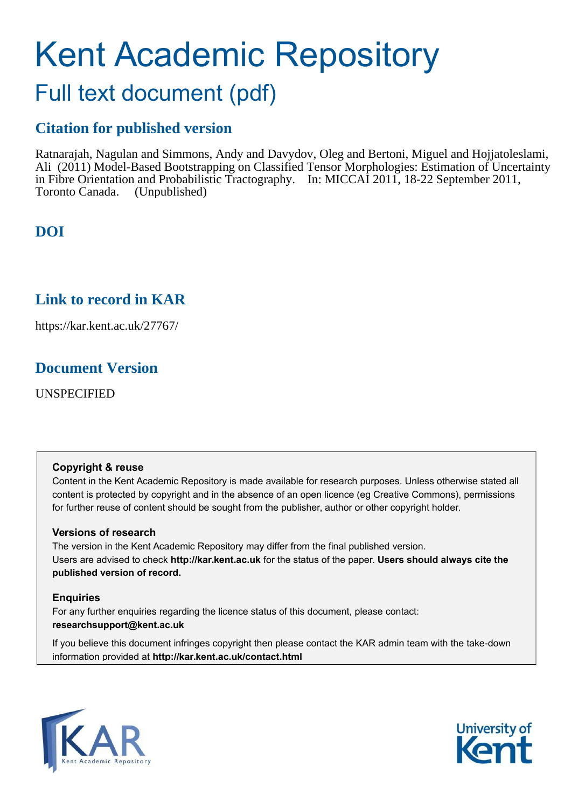# Kent Academic Repository Full text document (pdf)

# **Citation for published version**

Ratnarajah, Nagulan and Simmons, Andy and Davydov, Oleg and Bertoni, Miguel and Hojjatoleslami, Ali (2011) Model-Based Bootstrapping on Classified Tensor Morphologies: Estimation of Uncertainty in Fibre Orientation and Probabilistic Tractography. In: MICCAI 2011, 18-22 September 2011, Toronto Canada. (Unpublished)

# **DOI**

# **Link to record in KAR**

https://kar.kent.ac.uk/27767/

# **Document Version**

UNSPECIFIED

## **Copyright & reuse**

Content in the Kent Academic Repository is made available for research purposes. Unless otherwise stated all content is protected by copyright and in the absence of an open licence (eg Creative Commons), permissions for further reuse of content should be sought from the publisher, author or other copyright holder.

## **Versions of research**

The version in the Kent Academic Repository may differ from the final published version. Users are advised to check **http://kar.kent.ac.uk** for the status of the paper. **Users should always cite the published version of record.**

## **Enquiries**

For any further enquiries regarding the licence status of this document, please contact: **researchsupport@kent.ac.uk**

If you believe this document infringes copyright then please contact the KAR admin team with the take-down information provided at **http://kar.kent.ac.uk/contact.html**



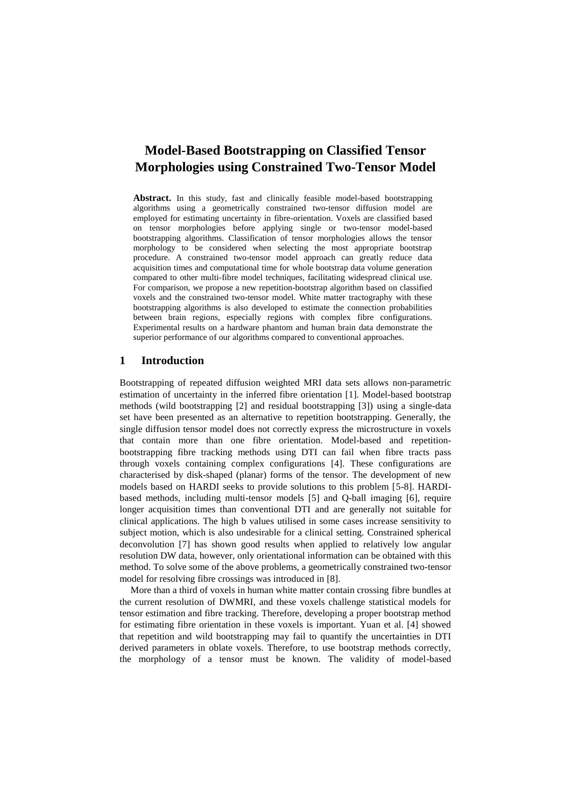## **Model-Based Bootstrapping on Classified Tensor Morphologies using Constrained Two-Tensor Model**

**Abstract.** In this study, fast and clinically feasible model-based bootstrapping algorithms using a geometrically constrained two-tensor diffusion model are employed for estimating uncertainty in fibre-orientation. Voxels are classified based on tensor morphologies before applying single or two-tensor model-based bootstrapping algorithms. Classification of tensor morphologies allows the tensor morphology to be considered when selecting the most appropriate bootstrap procedure. A constrained two-tensor model approach can greatly reduce data acquisition times and computational time for whole bootstrap data volume generation compared to other multi-fibre model techniques, facilitating widespread clinical use. For comparison, we propose a new repetition-bootstrap algorithm based on classified voxels and the constrained two-tensor model. White matter tractography with these bootstrapping algorithms is also developed to estimate the connection probabilities between brain regions, especially regions with complex fibre configurations. Experimental results on a hardware phantom and human brain data demonstrate the superior performance of our algorithms compared to conventional approaches.

#### **1 Introduction**

Bootstrapping of repeated diffusion weighted MRI data sets allows non-parametric estimation of uncertainty in the inferred fibre orientation [1]. Model-based bootstrap methods (wild bootstrapping [2] and residual bootstrapping [3]) using a single-data set have been presented as an alternative to repetition bootstrapping. Generally, the single diffusion tensor model does not correctly express the microstructure in voxels that contain more than one fibre orientation. Model-based and repetitionbootstrapping fibre tracking methods using DTI can fail when fibre tracts pass through voxels containing complex configurations [4]. These configurations are characterised by disk-shaped (planar) forms of the tensor. The development of new models based on HARDI seeks to provide solutions to this problem [5-8]. HARDIbased methods, including multi-tensor models [5] and Q-ball imaging [6], require longer acquisition times than conventional DTI and are generally not suitable for clinical applications. The high b values utilised in some cases increase sensitivity to subject motion, which is also undesirable for a clinical setting. Constrained spherical deconvolution [7] has shown good results when applied to relatively low angular resolution DW data, however, only orientational information can be obtained with this method. To solve some of the above problems, a geometrically constrained two-tensor model for resolving fibre crossings was introduced in [8].

More than a third of voxels in human white matter contain crossing fibre bundles at the current resolution of DWMRI, and these voxels challenge statistical models for tensor estimation and fibre tracking. Therefore, developing a proper bootstrap method for estimating fibre orientation in these voxels is important. Yuan et al. [4] showed that repetition and wild bootstrapping may fail to quantify the uncertainties in DTI derived parameters in oblate voxels. Therefore, to use bootstrap methods correctly, the morphology of a tensor must be known. The validity of model-based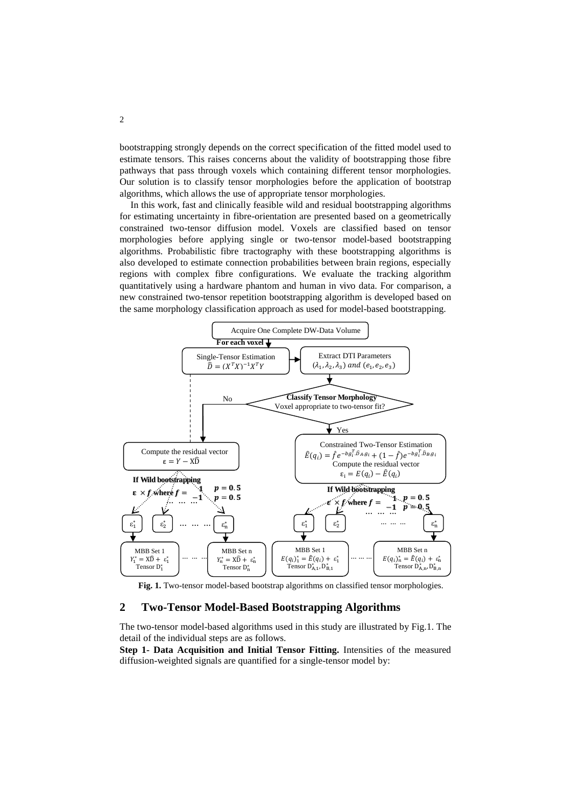bootstrapping strongly depends on the correct specification of the fitted model used to estimate tensors. This raises concerns about the validity of bootstrapping those fibre pathways that pass through voxels which containing different tensor morphologies. Our solution is to classify tensor morphologies before the application of bootstrap algorithms, which allows the use of appropriate tensor morphologies.

In this work, fast and clinically feasible wild and residual bootstrapping algorithms for estimating uncertainty in fibre-orientation are presented based on a geometrically constrained two-tensor diffusion model. Voxels are classified based on tensor morphologies before applying single or two-tensor model-based bootstrapping algorithms. Probabilistic fibre tractography with these bootstrapping algorithms is also developed to estimate connection probabilities between brain regions, especially regions with complex fibre configurations. We evaluate the tracking algorithm quantitatively using a hardware phantom and human in vivo data. For comparison, a new constrained two-tensor repetition bootstrapping algorithm is developed based on the same morphology classification approach as used for model-based bootstrapping.



Fig. 1. Two-tensor model-based bootstrap algorithms on classified tensor morphologies.

### **2 Two-Tensor Model-Based Bootstrapping Algorithms**

The two-tensor model-based algorithms used in this study are illustrated by Fig.1. The detail of the individual steps are as follows.

**Step 1- Data Acquisition and Initial Tensor Fitting.** Intensities of the measured diffusion-weighted signals are quantified for a single-tensor model by: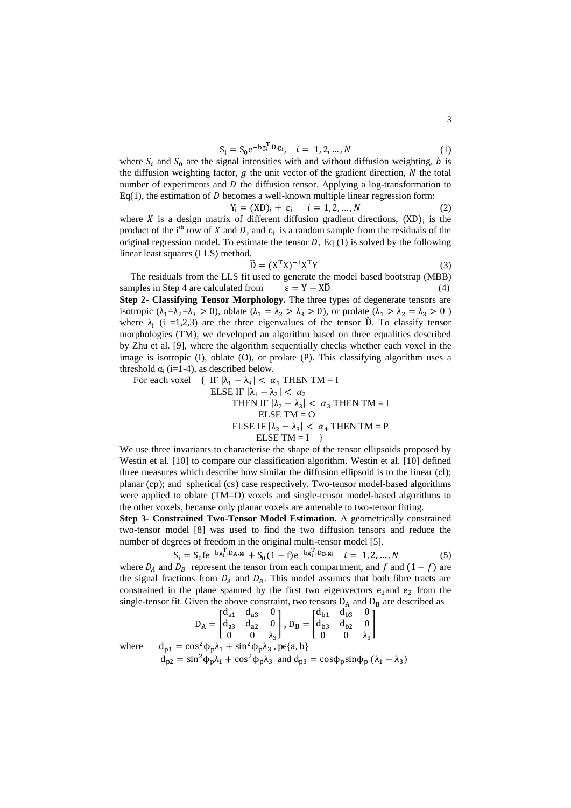$$
S_i = S_0 e^{-bg_i^T \cdot D \cdot g_i}, \quad i = 1, 2, ..., N
$$
 (1)

where  $S_i$  and  $S_0$  are the signal intensities with and without diffusion weighting, b is the diffusion weighting factor,  $g$  the unit vector of the gradient direction,  $N$  the total number of experiments and  $D$  the diffusion tensor. Applying a log-transformation to  $Eq(1)$ , the estimation of D becomes a well-known multiple linear regression form:

$$
Y_i = (XD)_i + \varepsilon_i \qquad i = 1, 2, ..., N \tag{2}
$$

where X is a design matrix of different diffusion gradient directions,  $(XD)$ <sub>i</sub> is the product of the i<sup>th</sup> row of X and D, and  $\varepsilon_i$  is a random sample from the residuals of the original regression model. To estimate the tensor  $D$ , Eq (1) is solved by the following linear least squares (LLS) method.

$$
\widehat{\mathbf{D}} = (\mathbf{X}^{\mathrm{T}} \mathbf{X})^{-1} \mathbf{X}^{\mathrm{T}} \mathbf{Y}
$$
 (3)

The residuals from the LLS fit used to generate the model based bootstrap (MBB) samples in Step 4 are calculated from  $\varepsilon = Y - X\widehat{D}$  (4) **Step 2- Classifying Tensor Morphology.** The three types of degenerate tensors are isotropic ( $\lambda_1 = \lambda_2 = \lambda_3 > 0$ ), oblate ( $\lambda_1 = \lambda_2 > \lambda_3 > 0$ ), or prolate ( $\lambda_1 > \lambda_2 = \lambda_3 > 0$ ) where  $\lambda_i$  (i =1,2,3) are the three eigenvalues of the tensor  $\hat{D}$ . To classify tensor morphologies (TM), we developed an algorithm based on three equalities described by Zhu et al. [9], where the algorithm sequentially checks whether each voxel in the image is isotropic (I), oblate (O), or prolate (P). This classifying algorithm uses a threshold  $\alpha_i$  (i=1-4), as described below.

For each voxel  $\{ \text{ IF } |\lambda_1 - \lambda_3| < \alpha_1 \text{ THEN } \text{TM} = I \}$ 

ELSE IF 
$$
|\lambda_1 - \lambda_2| < \alpha_2
$$

\nTHEN IF  $|\lambda_2 - \lambda_3| < \alpha_3$  THEN TM = I

\nELSE TM = O

\nELSE IF  $|\lambda_2 - \lambda_3| < \alpha_4$  THEN TM = P

\nELSE TM = I

We use three invariants to characterise the shape of the tensor ellipsoids proposed by Westin et al. [10] to compare our classification algorithm. Westin et al. [10] defined three measures which describe how similar the diffusion ellipsoid is to the linear  $(l)$ ; planar (cp); and spherical (cs) case respectively. Two-tensor model-based algorithms were applied to oblate (TM=O) voxels and single-tensor model-based algorithms to the other voxels, because only planar voxels are amenable to two-tensor fitting.

**Step 3- Constrained Two-Tensor Model Estimation.** A geometrically constrained two-tensor model [8] was used to find the two diffusion tensors and reduce the number of degrees of freedom in the original multi-tensor model [5].

$$
S_i = S_0 f e^{-b g_i^T . D_A g_i} + S_0 (1 - f) e^{-b g_i^T . D_B g_i} \quad i = 1, 2, ..., N
$$
 (5)

where  $D_A$  and  $D_B$  represent the tensor from each compartment, and f and  $(1-f)$  are the signal fractions from  $D_A$  and  $D_B$ . This model assumes that both fibre tracts are constrained in the plane spanned by the first two eigenvectors  $e_1$  and  $e_2$  from the single-tensor fit. Given the above constraint, two tensors  $D_A$  and  $D_B$  are described as

$$
D_{A} = \begin{bmatrix} d_{a1} & d_{a3} & 0 \\ d_{a3} & d_{a2} & 0 \\ 0 & 0 & \lambda_{3} \end{bmatrix}, D_{B} = \begin{bmatrix} d_{b1} & d_{b3} & 0 \\ d_{b3} & d_{b2} & 0 \\ 0 & 0 & \lambda_{3} \end{bmatrix}
$$
  
where  $d_{p1} = \cos^{2} \phi_{p} \lambda_{1} + \sin^{2} \phi_{p} \lambda_{3}$ ,  $p \in \{a, b\}$ 

$$
d_{p2} = \sin^2 \phi_p \lambda_1 + \cos^2 \phi_p \lambda_3 \text{ and } d_{p3} = \cos \phi_p \sin \phi_p \ (\lambda_1 - \lambda_3)
$$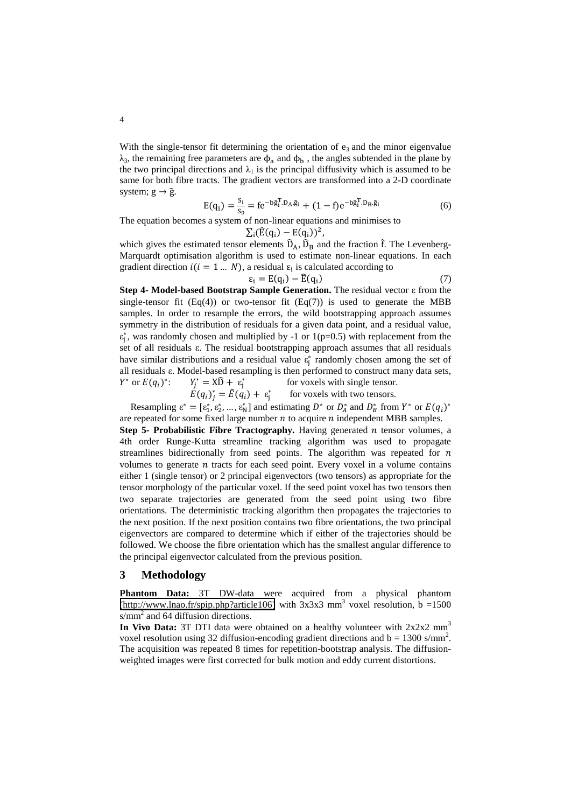With the single-tensor fit determining the orientation of  $e_3$  and the minor eigenvalue  $\lambda_3$ , the remaining free parameters are  $\phi_a$  and  $\phi_b$ , the angles subtended in the plane by the two principal directions and  $\lambda_1$  is the principal diffusivity which is assumed to be same for both fibre tracts. The gradient vectors are transformed into a 2-D coordinate system;  $g \rightarrow \tilde{g}$ .

$$
E(q_i) = \frac{s_i}{s_o} = fe^{-b\tilde{g}_i^T \cdot D_A \cdot \tilde{g}_i} + (1 - f)e^{-b\tilde{g}_i^T \cdot D_B \cdot \tilde{g}_i}
$$
(6)

The equation becomes a system of non-linear equations and minimises to  $\sum_i (\hat{E}(q_i) - E(q_i))^2$ ,

which gives the estimated tensor elements  $\hat{D}_A$ ,  $\hat{D}_B$  and the fraction f. The Levenberg-Marquardt optimisation algorithm is used to estimate non-linear equations. In each gradient direction  $i(i = 1 ... N)$ , a residual  $\varepsilon_i$  is calculated according to

$$
\varepsilon_{i} = E(q_{i}) - \widehat{E}(q_{i})
$$
\n(7)

Step 4- Model-based Bootstrap Sample Generation. The residual vector  $\varepsilon$  from the single-tensor fit  $(Eq(4))$  or two-tensor fit  $(Eq(7))$  is used to generate the MBB samples. In order to resample the errors, the wild bootstrapping approach assumes symmetry in the distribution of residuals for a given data point, and a residual value,  $\varepsilon_j^*$ , was randomly chosen and multiplied by -1 or 1(p=0.5) with replacement from the set of all residuals  $\varepsilon$ . The residual bootstrapping approach assumes that all residuals have similar distributions and a residual value  $\varepsilon_j^*$  randomly chosen among the set of all residuals  $\varepsilon$ . Model-based resampling is then performed to construct many data sets,  $Y^*$  or  $E(q_i)^*$ :  $Y_j^* = X\hat{D} + \varepsilon_j^*$ for voxels with single tensor.

$$
E(q_i)_j^* = \hat{E}(q_i) + \varepsilon_j^*
$$
 for voxels with two tensors.

Resampling  $\varepsilon^* = [\varepsilon_1^*, \varepsilon_2^*, \dots, \varepsilon_N^*]$  and estimating  $D^*$  or  $D_A^*$  and  $D_B^*$  from  $Y^*$  or  $E(q_i)^*$ are repeated for some fixed large number  $n$  to acquire  $n$  independent MBB samples.

**Step 5- Probabilistic Fibre Tractography.** Having generated  $n$  tensor volumes, a 4th order Runge-Kutta streamline tracking algorithm was used to propagate streamlines bidirectionally from seed points. The algorithm was repeated for  $n$ volumes to generate  $n$  tracts for each seed point. Every voxel in a volume contains either 1 (single tensor) or 2 principal eigenvectors (two tensors) as appropriate for the tensor morphology of the particular voxel. If the seed point voxel has two tensors then two separate trajectories are generated from the seed point using two fibre orientations. The deterministic tracking algorithm then propagates the trajectories to the next position. If the next position contains two fibre orientations, the two principal eigenvectors are compared to determine which if either of the trajectories should be followed. We choose the fibre orientation which has the smallest angular difference to the principal eigenvector calculated from the previous position.

#### **3 Methodology**

**Phantom Data:** 3T DW-data were acquired from a physical phantom  $(\frac{http://www.lnao.fr/spip.php?article106}{http://www.lnao.fr/spip.php?article106})$  with  $3x3x3$  mm<sup>3</sup> voxel resolution,  $b = 1500$  $s/mm<sup>2</sup>$  and 64 diffusion directions.

**In Vivo Data:** 3T DTI data were obtained on a healthy volunteer with  $2x2x2$  mm<sup>3</sup> voxel resolution using 32 diffusion-encoding gradient directions and  $b = 1300 \text{ s/mm}^2$ . The acquisition was repeated 8 times for repetition-bootstrap analysis. The diffusionweighted images were first corrected for bulk motion and eddy current distortions.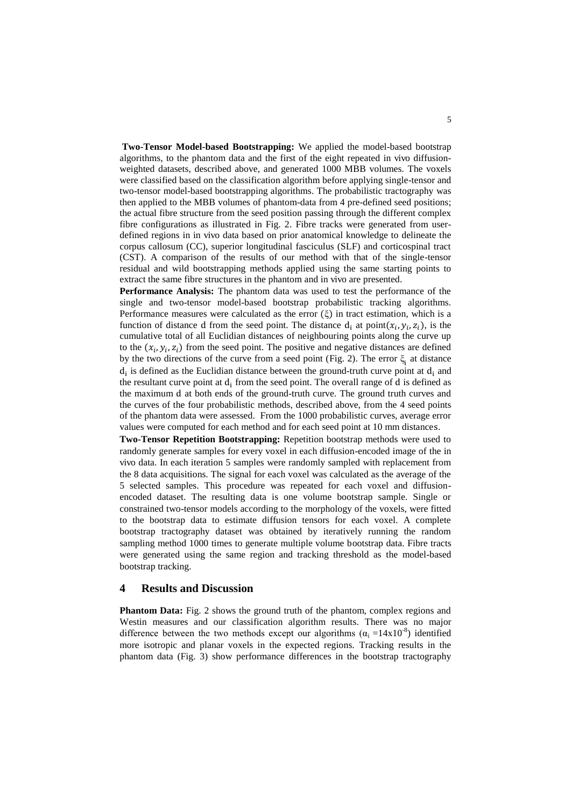**Two-Tensor Model-based Bootstrapping:** We applied the model-based bootstrap algorithms, to the phantom data and the first of the eight repeated in vivo diffusionweighted datasets, described above, and generated 1000 MBB volumes. The voxels were classified based on the classification algorithm before applying single-tensor and two-tensor model-based bootstrapping algorithms. The probabilistic tractography was then applied to the MBB volumes of phantom-data from 4 pre-defined seed positions; the actual fibre structure from the seed position passing through the different complex fibre configurations as illustrated in Fig. 2. Fibre tracks were generated from userdefined regions in in vivo data based on prior anatomical knowledge to delineate the corpus callosum (CC), superior longitudinal fasciculus (SLF) and corticospinal tract (CST). A comparison of the results of our method with that of the single-tensor residual and wild bootstrapping methods applied using the same starting points to extract the same fibre structures in the phantom and in vivo are presented.

**Performance Analysis:** The phantom data was used to test the performance of the single and two-tensor model-based bootstrap probabilistic tracking algorithms. Performance measures were calculated as the error  $(\xi)$  in tract estimation, which is a function of distance d from the seed point. The distance  $d_i$  at point $(x_i, y_i, z_i)$ , is the cumulative total of all Euclidian distances of neighbouring points along the curve up to the  $(x_i, y_i, z_i)$  from the seed point. The positive and negative distances are defined by the two directions of the curve from a seed point (Fig. 2). The error  $\xi_i$  at distance  $d_i$  is defined as the Euclidian distance between the ground-truth curve point at  $d_i$  and the resultant curve point at  $d_i$  from the seed point. The overall range of  $d$  is defined as the maximum d at both ends of the ground-truth curve. The ground truth curves and the curves of the four probabilistic methods, described above, from the 4 seed points of the phantom data were assessed. From the 1000 probabilistic curves, average error values were computed for each method and for each seed point at 10 mm distance .

**Two-Tensor Repetition Bootstrapping:** Repetition bootstrap methods were used to randomly generate samples for every voxel in each diffusion-encoded image of the in vivo data. In each iteration 5 samples were randomly sampled with replacement from the 8 data acquisitions. The signal for each voxel was calculated as the average of the 5 selected samples. This procedure was repeated for each voxel and diffusionencoded dataset. The resulting data is one volume bootstrap sample. Single or constrained two-tensor models according to the morphology of the voxels, were fitted to the bootstrap data to estimate diffusion tensors for each voxel. A complete bootstrap tractography dataset was obtained by iteratively running the random sampling method 1000 times to generate multiple volume bootstrap data. Fibre tracts were generated using the same region and tracking threshold as the model-based bootstrap tracking.

#### **4 Results and Discussion**

**Phantom Data:** Fig. 2 shows the ground truth of the phantom, complex regions and Westin measures and our classification algorithm results. There was no major difference between the two methods except our algorithms  $(\alpha_i = 14x10^{-8})$  identified more isotropic and planar voxels in the expected regions. Tracking results in the phantom data (Fig. 3) show performance differences in the bootstrap tractography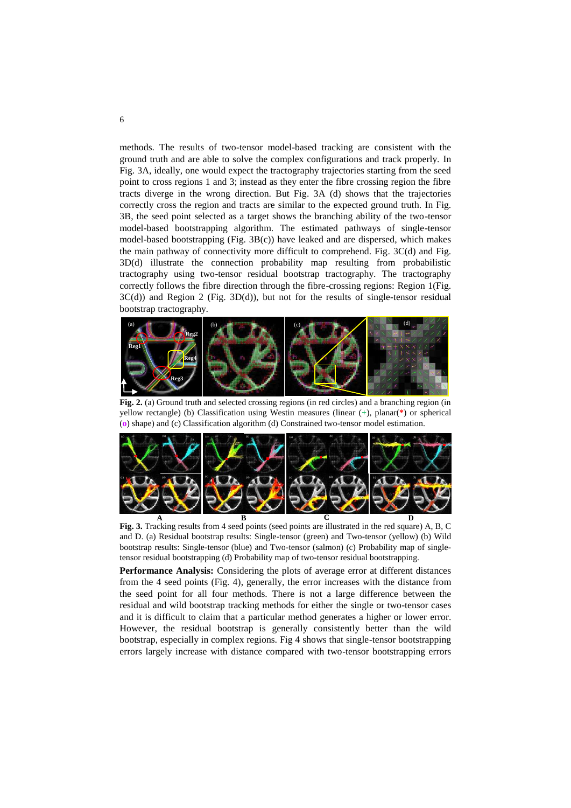methods. The results of two-tensor model-based tracking are consistent with the ground truth and are able to solve the complex configurations and track properly. In Fig. 3A, ideally, one would expect the tractography trajectories starting from the seed point to cross regions 1 and 3; instead as they enter the fibre crossing region the fibre tracts diverge in the wrong direction. But Fig.  $3A$  (d) shows that the trajectories correctly cross the region and tracts are similar to the expected ground truth. In Fig. 3B, the seed point selected as a target shows the branching ability of the two-tensor model-based bootstrapping algorithm. The estimated pathways of single-tensor model-based bootstrapping (Fig.  $3B(c)$ ) have leaked and are dispersed, which makes the main pathway of connectivity more difficult to comprehend. Fig. 3C(d) and Fig. 3D(d) illustrate the connection probability map resulting from probabilistic tractography using two-tensor residual bootstrap tractography. The tractography correctly follows the fibre direction through the fibre-crossing regions: Region 1(Fig. 3C(d)) and Region 2 (Fig. 3D(d)), but not for the results of single-tensor residual bootstrap tractography.



Fig. 2. (a) Ground truth and selected crossing regions (in red circles) and a branching region (in yellow rectangle) (b) Classification using Westin measures (linear (**+**), planar(**\***) or spherical (**o**) shape) and (c) Classification algorithm (d) Constrained two-tensor model estimation.



Fig. 3. Tracking results from 4 seed points (seed points are illustrated in the red square) A, B, C and D. (a) Residual bootstrap results: Single-tensor (green) and Two-tensor (yellow) (b) Wild bootstrap results: Single-tensor (blue) and Two-tensor (salmon) (c) Probability map of singletensor residual bootstrapping (d) Probability map of two-tensor residual bootstrapping.

**Performance Analysis:** Considering the plots of average error at different distances from the 4 seed points (Fig. 4), generally, the error increases with the distance from the seed point for all four methods. There is not a large difference between the residual and wild bootstrap tracking methods for either the single or two-tensor cases and it is difficult to claim that a particular method generates a higher or lower error. However, the residual bootstrap is generally consistently better than the wild bootstrap, especially in complex regions. Fig 4 shows that single-tensor bootstrapping errors largely increase with distance compared with two-tensor bootstrapping errors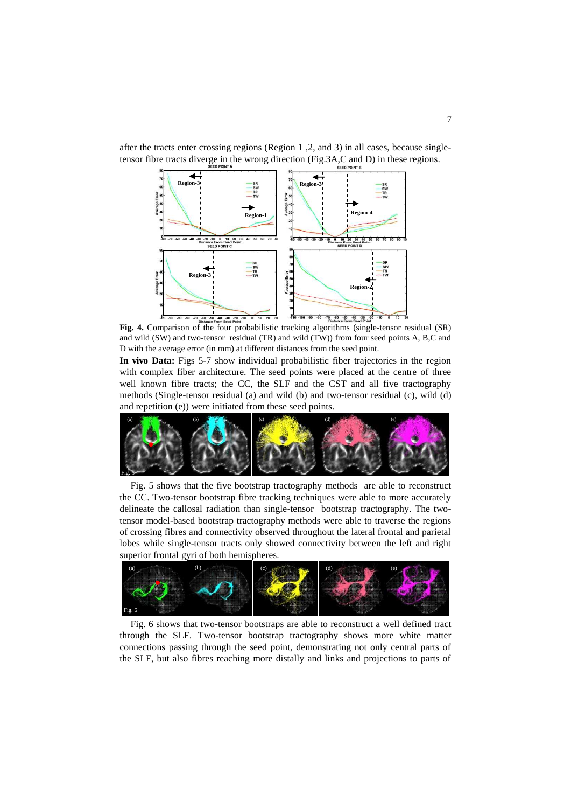

after the tracts enter crossing regions (Region 1 ,2, and 3) in all cases, because singletensor fibre tracts diverge in the wrong direction (Fig.3A,C and D) in these regions.

**Fig. 4.** Comparison of the four probabilistic tracking algorithms (single-tensor residual (SR) and wild (SW) and two-tensor residual (TR) and wild (TW)) from four seed points A, B,C and D with the average error (in mm) at different distances from the seed point.

**In vivo Data:** Figs 5-7 show individual probabilistic fiber trajectories in the region with complex fiber architecture. The seed points were placed at the centre of three well known fibre tracts; the CC, the SLF and the CST and all five tractography methods (Single-tensor residual (a) and wild (b) and two-tensor residual (c), wild (d) and repetition (e)) were initiated from these seed points.



Fig. 5 shows that the five bootstrap tractography methods are able to reconstruct the CC. Two-tensor bootstrap fibre tracking techniques were able to more accurately delineate the callosal radiation than single-tensor bootstrap tractography. The twotensor model-based bootstrap tractography methods were able to traverse the regions of crossing fibres and connectivity observed throughout the lateral frontal and parietal lobes while single-tensor tracts only showed connectivity between the left and right superior frontal gyri of both hemispheres.



Fig. 6 shows that two-tensor bootstraps are able to reconstruct a well defined tract through the SLF. Two-tensor bootstrap tractography shows more white matter connections passing through the seed point, demonstrating not only central parts of the SLF, but also fibres reaching more distally and links and projections to parts of